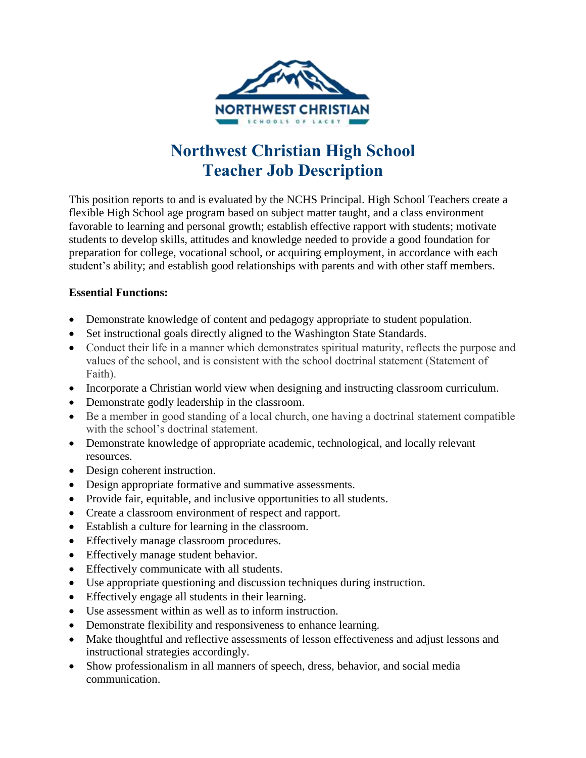

## **Northwest Christian High School Teacher Job Description**

This position reports to and is evaluated by the NCHS Principal. High School Teachers create a flexible High School age program based on subject matter taught, and a class environment favorable to learning and personal growth; establish effective rapport with students; motivate students to develop skills, attitudes and knowledge needed to provide a good foundation for preparation for college, vocational school, or acquiring employment, in accordance with each student's ability; and establish good relationships with parents and with other staff members.

## **Essential Functions:**

- Demonstrate knowledge of content and pedagogy appropriate to student population.
- Set instructional goals directly aligned to the Washington State Standards.
- Conduct their life in a manner which demonstrates spiritual maturity, reflects the purpose and values of the school, and is consistent with the school doctrinal statement (Statement of Faith).
- Incorporate a Christian world view when designing and instructing classroom curriculum.
- Demonstrate godly leadership in the classroom.
- Be a member in good standing of a local church, one having a doctrinal statement compatible with the school's doctrinal statement.
- Demonstrate knowledge of appropriate academic, technological, and locally relevant resources.
- Design coherent instruction.
- Design appropriate formative and summative assessments.
- Provide fair, equitable, and inclusive opportunities to all students.
- Create a classroom environment of respect and rapport.
- Establish a culture for learning in the classroom.
- Effectively manage classroom procedures.
- Effectively manage student behavior.
- Effectively communicate with all students.
- Use appropriate questioning and discussion techniques during instruction.
- Effectively engage all students in their learning.
- Use assessment within as well as to inform instruction.
- Demonstrate flexibility and responsiveness to enhance learning.
- Make thoughtful and reflective assessments of lesson effectiveness and adjust lessons and instructional strategies accordingly.
- Show professionalism in all manners of speech, dress, behavior, and social media communication.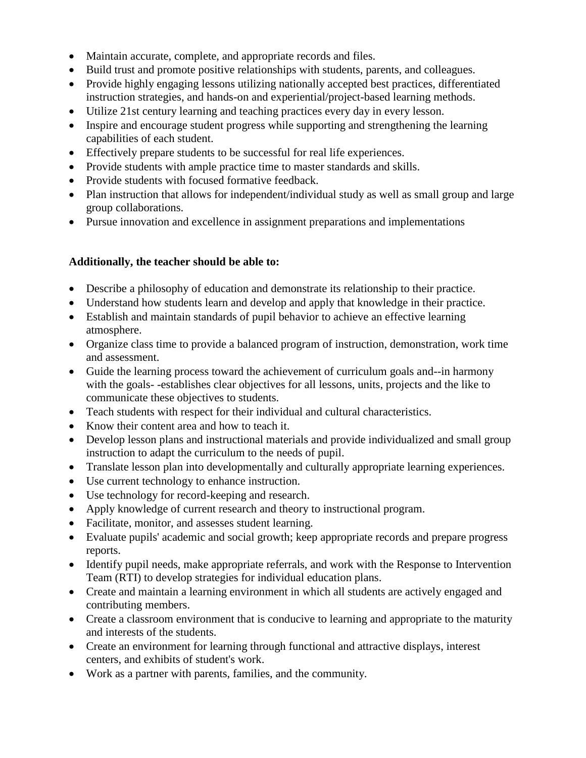- Maintain accurate, complete, and appropriate records and files.
- Build trust and promote positive relationships with students, parents, and colleagues.
- Provide highly engaging lessons utilizing nationally accepted best practices, differentiated instruction strategies, and hands-on and experiential/project-based learning methods.
- Utilize 21st century learning and teaching practices every day in every lesson.
- Inspire and encourage student progress while supporting and strengthening the learning capabilities of each student.
- Effectively prepare students to be successful for real life experiences.
- Provide students with ample practice time to master standards and skills.
- Provide students with focused formative feedback.
- Plan instruction that allows for independent/individual study as well as small group and large group collaborations.
- Pursue innovation and excellence in assignment preparations and implementations

## **Additionally, the teacher should be able to:**

- Describe a philosophy of education and demonstrate its relationship to their practice.
- Understand how students learn and develop and apply that knowledge in their practice.
- Establish and maintain standards of pupil behavior to achieve an effective learning atmosphere.
- Organize class time to provide a balanced program of instruction, demonstration, work time and assessment.
- Guide the learning process toward the achievement of curriculum goals and--in harmony with the goals- -establishes clear objectives for all lessons, units, projects and the like to communicate these objectives to students.
- Teach students with respect for their individual and cultural characteristics.
- Know their content area and how to teach it.
- Develop lesson plans and instructional materials and provide individualized and small group instruction to adapt the curriculum to the needs of pupil.
- Translate lesson plan into developmentally and culturally appropriate learning experiences.
- Use current technology to enhance instruction.
- Use technology for record-keeping and research.
- Apply knowledge of current research and theory to instructional program.
- Facilitate, monitor, and assesses student learning.
- Evaluate pupils' academic and social growth; keep appropriate records and prepare progress reports.
- Identify pupil needs, make appropriate referrals, and work with the Response to Intervention Team (RTI) to develop strategies for individual education plans.
- Create and maintain a learning environment in which all students are actively engaged and contributing members.
- Create a classroom environment that is conducive to learning and appropriate to the maturity and interests of the students.
- Create an environment for learning through functional and attractive displays, interest centers, and exhibits of student's work.
- Work as a partner with parents, families, and the community.